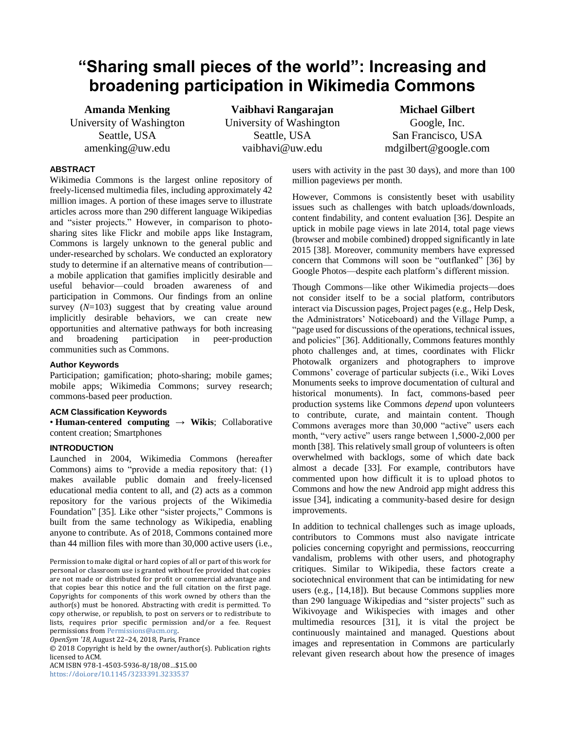# **"Sharing small pieces of the world": Increasing and broadening participation in Wikimedia Commons**

**Amanda Menking** University of Washington Seattle, USA amenking@uw.edu

**Vaibhavi Rangarajan** University of Washington Seattle, USA vaibhavi@uw.edu

**Michael Gilbert** Google, Inc. San Francisco, USA mdgilbert@google.com

## **ABSTRACT**

Wikimedia Commons is the largest online repository of freely-licensed multimedia files, including approximately 42 million images. A portion of these images serve to illustrate articles across more than 290 different language Wikipedias and "sister projects." However, in comparison to photosharing sites like Flickr and mobile apps like Instagram, Commons is largely unknown to the general public and under-researched by scholars. We conducted an exploratory study to determine if an alternative means of contribution a mobile application that gamifies implicitly desirable and useful behavior—could broaden awareness of and participation in Commons. Our findings from an online survey  $(N=103)$  suggest that by creating value around implicitly desirable behaviors, we can create new opportunities and alternative pathways for both increasing and broadening participation in peer-production communities such as Commons.

## **Author Keywords**

Participation; gamification; photo-sharing; mobile games; mobile apps; Wikimedia Commons; survey research; commons-based peer production.

#### **ACM Classification Keywords**

• **Human-centered computing** → **Wikis**; Collaborative content creation; Smartphones

#### **INTRODUCTION**

Launched in 2004, Wikimedia Commons (hereafter Commons) aims to "provide a media repository that: (1) makes available public domain and freely-licensed educational media content to all, and (2) acts as a common repository for the various projects of the Wikimedia Foundation" [35]. Like other "sister projects," Commons is built from the same technology as Wikipedia, enabling anyone to contribute. As of 2018, Commons contained more than 44 million files with more than 30,000 active users (i.e.,

*OpenSym '18*, August 22–24, 2018, Paris, France

© 2018 Copyright is held by the owner/author(s). Publication rights licensed to ACM.

ACM ISBN 978-1-4503-5936-8/18/08…\$15.00

<https://doi.org/10.1145/3233391.3233537>

users with activity in the past 30 days), and more than 100 million pageviews per month.

However, Commons is consistently beset with usability issues such as challenges with batch uploads/downloads, content findability, and content evaluation [36]. Despite an uptick in mobile page views in late 2014, total page views (browser and mobile combined) dropped significantly in late 2015 [38]. Moreover, community members have expressed concern that Commons will soon be "outflanked" [36] by Google Photos—despite each platform's different mission.

Though Commons—like other Wikimedia projects—does not consider itself to be a social platform, contributors interact via Discussion pages, Project pages (e.g., Help Desk, the Administrators' Noticeboard) and the Village Pump, a "page used for discussions of the operations, technical issues, and policies" [36]. Additionally, Commons features monthly photo challenges and, at times, coordinates with Flickr Photowalk organizers and photographers to improve Commons' coverage of particular subjects (i.e., Wiki Loves Monuments seeks to improve documentation of cultural and historical monuments). In fact, commons-based peer production systems like Commons *depend* upon volunteers to contribute, curate, and maintain content. Though Commons averages more than 30,000 "active" users each month, "very active" users range between 1,5000-2,000 per month [38]. This relatively small group of volunteers is often overwhelmed with backlogs, some of which date back almost a decade [33]. For example, contributors have commented upon how difficult it is to upload photos to Commons and how the new Android app might address this issue [34], indicating a community-based desire for design improvements.

In addition to technical challenges such as image uploads, contributors to Commons must also navigate intricate policies concerning copyright and permissions, reoccurring vandalism, problems with other users, and photography critiques. Similar to Wikipedia, these factors create a sociotechnical environment that can be intimidating for new users (e.g., [14,18]). But because Commons supplies more than 290 language Wikipedias and "sister projects" such as Wikivoyage and Wikispecies with images and other multimedia resources [31], it is vital the project be continuously maintained and managed. Questions about images and representation in Commons are particularly relevant given research about how the presence of images

Permission to make digital or hard copies of all or part of this work for personal or classroom use is granted without fee provided that copies are not made or distributed for profit or commercial advantage and that copies bear this notice and the full citation on the first page. Copyrights for components of this work owned by others than the author(s) must be honored. Abstracting with credit is permitted. To copy otherwise, or republish, to post on servers or to redistribute to lists, requires prior specific permission and/or a fee. Request permissions fro[m Permissions@acm.org.](mailto:Permissions@acm.org)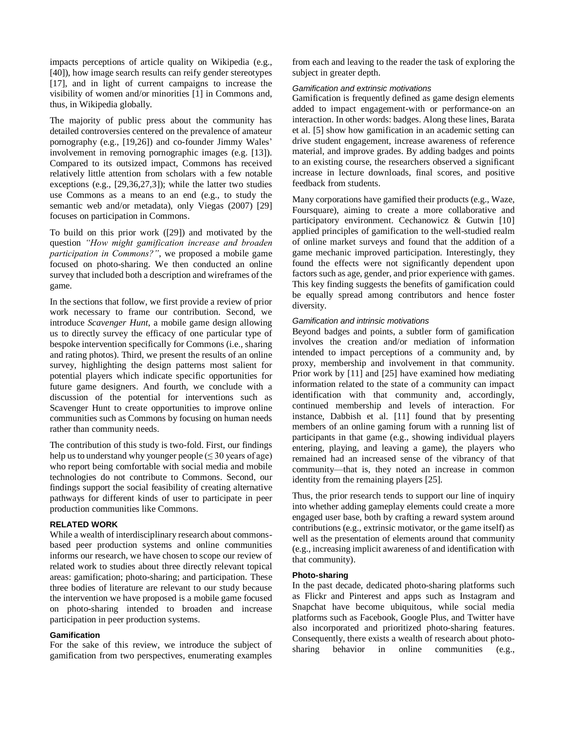impacts perceptions of article quality on Wikipedia (e.g., [40]), how image search results can reify gender stereotypes [17], and in light of current campaigns to increase the visibility of women and/or minorities [1] in Commons and, thus, in Wikipedia globally.

The majority of public press about the community has detailed controversies centered on the prevalence of amateur pornography (e.g., [19,26]) and co-founder Jimmy Wales' involvement in removing pornographic images (e.g. [13]). Compared to its outsized impact, Commons has received relatively little attention from scholars with a few notable exceptions (e.g., [29,36,27,3]); while the latter two studies use Commons as a means to an end (e.g., to study the semantic web and/or metadata), only Viegas (2007) [29] focuses on participation in Commons.

To build on this prior work ([29]) and motivated by the question *"How might gamification increase and broaden participation in Commons?"*, we proposed a mobile game focused on photo-sharing. We then conducted an online survey that included both a description and wireframes of the game.

In the sections that follow, we first provide a review of prior work necessary to frame our contribution. Second, we introduce *Scavenger Hunt*, a mobile game design allowing us to directly survey the efficacy of one particular type of bespoke intervention specifically for Commons (i.e., sharing and rating photos). Third, we present the results of an online survey, highlighting the design patterns most salient for potential players which indicate specific opportunities for future game designers. And fourth, we conclude with a discussion of the potential for interventions such as Scavenger Hunt to create opportunities to improve online communities such as Commons by focusing on human needs rather than community needs.

The contribution of this study is two-fold. First, our findings help us to understand why younger people  $(\leq 30$  years of age) who report being comfortable with social media and mobile technologies do not contribute to Commons. Second, our findings support the social feasibility of creating alternative pathways for different kinds of user to participate in peer production communities like Commons.

## **RELATED WORK**

While a wealth of interdisciplinary research about commonsbased peer production systems and online communities informs our research, we have chosen to scope our review of related work to studies about three directly relevant topical areas: gamification; photo-sharing; and participation. These three bodies of literature are relevant to our study because the intervention we have proposed is a mobile game focused on photo-sharing intended to broaden and increase participation in peer production systems.

## **Gamification**

For the sake of this review, we introduce the subject of gamification from two perspectives, enumerating examples

from each and leaving to the reader the task of exploring the subject in greater depth.

## *Gamification and extrinsic motivations*

Gamification is frequently defined as game design elements added to impact engagement-with or performance-on an interaction. In other words: badges. Along these lines, Barata et al. [5] show how gamification in an academic setting can drive student engagement, increase awareness of reference material, and improve grades. By adding badges and points to an existing course, the researchers observed a significant increase in lecture downloads, final scores, and positive feedback from students.

Many corporations have gamified their products (e.g., Waze, Foursquare), aiming to create a more collaborative and participatory environment. Cechanowicz & Gutwin [10] applied principles of gamification to the well-studied realm of online market surveys and found that the addition of a game mechanic improved participation. Interestingly, they found the effects were not significantly dependent upon factors such as age, gender, and prior experience with games. This key finding suggests the benefits of gamification could be equally spread among contributors and hence foster diversity.

#### *Gamification and intrinsic motivations*

Beyond badges and points, a subtler form of gamification involves the creation and/or mediation of information intended to impact perceptions of a community and, by proxy, membership and involvement in that community. Prior work by [11] and [25] have examined how mediating information related to the state of a community can impact identification with that community and, accordingly, continued membership and levels of interaction. For instance, Dabbish et al. [11] found that by presenting members of an online gaming forum with a running list of participants in that game (e.g., showing individual players entering, playing, and leaving a game), the players who remained had an increased sense of the vibrancy of that community—that is, they noted an increase in common identity from the remaining players [25].

Thus, the prior research tends to support our line of inquiry into whether adding gameplay elements could create a more engaged user base, both by crafting a reward system around contributions (e.g., extrinsic motivator, or the game itself) as well as the presentation of elements around that community (e.g., increasing implicit awareness of and identification with that community).

#### **Photo-sharing**

In the past decade, dedicated photo-sharing platforms such as Flickr and Pinterest and apps such as Instagram and Snapchat have become ubiquitous, while social media platforms such as Facebook, Google Plus, and Twitter have also incorporated and prioritized photo-sharing features. Consequently, there exists a wealth of research about photosharing behavior in online communities (e.g.,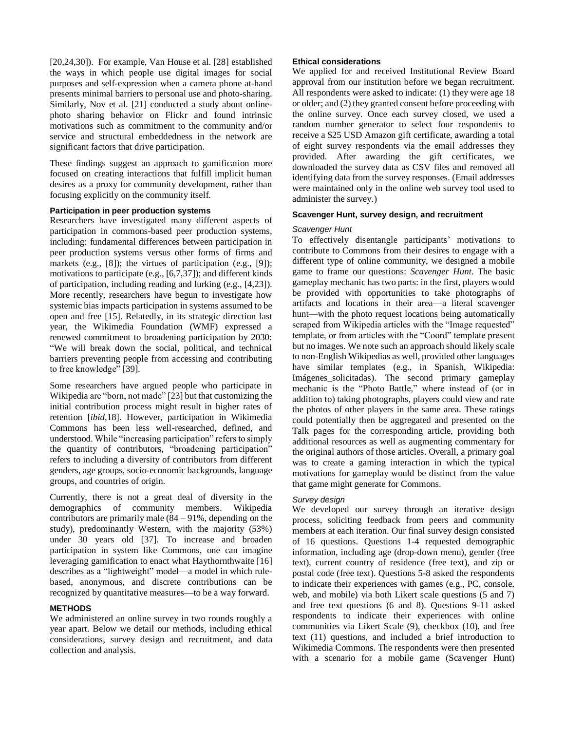[20,24,30]). For example, Van House et al. [28] established the ways in which people use digital images for social purposes and self-expression when a camera phone at-hand presents minimal barriers to personal use and photo-sharing. Similarly, Nov et al. [21] conducted a study about onlinephoto sharing behavior on Flickr and found intrinsic motivations such as commitment to the community and/or service and structural embeddedness in the network are significant factors that drive participation.

These findings suggest an approach to gamification more focused on creating interactions that fulfill implicit human desires as a proxy for community development, rather than focusing explicitly on the community itself.

## **Participation in peer production systems**

Researchers have investigated many different aspects of participation in commons-based peer production systems, including: fundamental differences between participation in peer production systems versus other forms of firms and markets (e.g., [8]); the virtues of participation (e.g., [9]); motivations to participate (e.g., [6,7,37]); and different kinds of participation, including reading and lurking (e.g., [4,23]). More recently, researchers have begun to investigate how systemic bias impacts participation in systems assumed to be open and free [15]. Relatedly, in its strategic direction last year, the Wikimedia Foundation (WMF) expressed a renewed commitment to broadening participation by 2030: "We will break down the social, political, and technical barriers preventing people from accessing and contributing to free knowledge" [39].

Some researchers have argued people who participate in Wikipedia are "born, not made" [23] but that customizing the initial contribution process might result in higher rates of retention [*ibid*,18]. However, participation in Wikimedia Commons has been less well-researched, defined, and understood. While "increasing participation" refers to simply the quantity of contributors, "broadening participation" refers to including a diversity of contributors from different genders, age groups, socio-economic backgrounds, language groups, and countries of origin.

Currently, there is not a great deal of diversity in the demographics of community members. Wikipedia contributors are primarily male (84 – 91%, depending on the study), predominantly Western, with the majority (53%) under 30 years old [37]. To increase and broaden participation in system like Commons, one can imagine leveraging gamification to enact what Haythornthwaite [16] describes as a "lightweight" model—a model in which rulebased, anonymous, and discrete contributions can be recognized by quantitative measures—to be a way forward.

## **METHODS**

We administered an online survey in two rounds roughly a year apart. Below we detail our methods, including ethical considerations, survey design and recruitment, and data collection and analysis.

#### **Ethical considerations**

We applied for and received Institutional Review Board approval from our institution before we began recruitment. All respondents were asked to indicate: (1) they were age 18 or older; and (2) they granted consent before proceeding with the online survey. Once each survey closed, we used a random number generator to select four respondents to receive a \$25 USD Amazon gift certificate, awarding a total of eight survey respondents via the email addresses they provided. After awarding the gift certificates, we downloaded the survey data as CSV files and removed all identifying data from the survey responses. (Email addresses were maintained only in the online web survey tool used to administer the survey.)

#### **Scavenger Hunt, survey design, and recruitment**

#### *Scavenger Hunt*

To effectively disentangle participants' motivations to contribute to Commons from their desires to engage with a different type of online community, we designed a mobile game to frame our questions: *Scavenger Hunt*. The basic gameplay mechanic has two parts: in the first, players would be provided with opportunities to take photographs of artifacts and locations in their area—a literal scavenger hunt—with the photo request locations being automatically scraped from Wikipedia articles with the "Image requested" template, or from articles with the "Coord" template present but no images. We note such an approach should likely scale to non-English Wikipedias as well, provided other languages have similar templates (e.g., in Spanish, Wikipedia: Imágenes solicitadas). The second primary gameplay mechanic is the "Photo Battle," where instead of (or in addition to) taking photographs, players could view and rate the photos of other players in the same area. These ratings could potentially then be aggregated and presented on the Talk pages for the corresponding article, providing both additional resources as well as augmenting commentary for the original authors of those articles. Overall, a primary goal was to create a gaming interaction in which the typical motivations for gameplay would be distinct from the value that game might generate for Commons.

## *Survey design*

We developed our survey through an iterative design process, soliciting feedback from peers and community members at each iteration. Our final survey design consisted of 16 questions. Questions 1-4 requested demographic information, including age (drop-down menu), gender (free text), current country of residence (free text), and zip or postal code (free text). Questions 5-8 asked the respondents to indicate their experiences with games (e.g., PC, console, web, and mobile) via both Likert scale questions (5 and 7) and free text questions (6 and 8). Questions 9-11 asked respondents to indicate their experiences with online communities via Likert Scale (9), checkbox (10), and free text (11) questions, and included a brief introduction to Wikimedia Commons. The respondents were then presented with a scenario for a mobile game (Scavenger Hunt)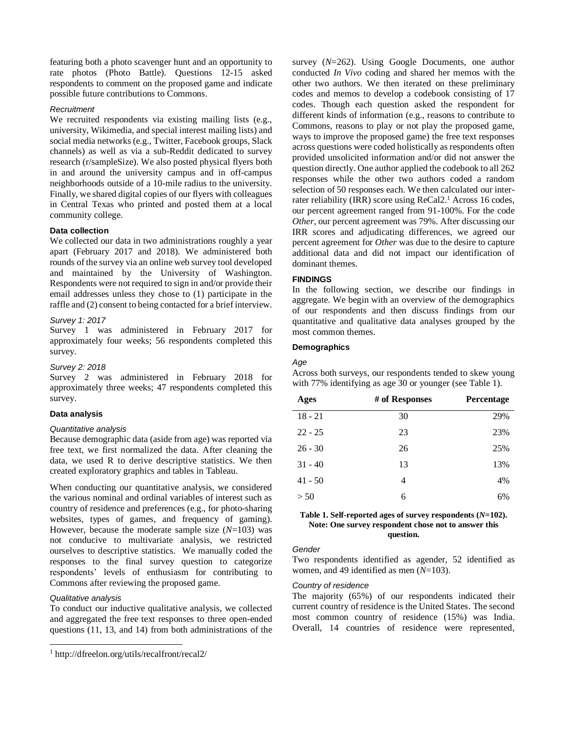featuring both a photo scavenger hunt and an opportunity to rate photos (Photo Battle). Questions 12-15 asked respondents to comment on the proposed game and indicate possible future contributions to Commons.

#### *Recruitment*

We recruited respondents via existing mailing lists (e.g., university, Wikimedia, and special interest mailing lists) and social media networks (e.g., Twitter, Facebook groups, Slack channels) as well as via a sub-Reddit dedicated to survey research (r/sampleSize). We also posted physical flyers both in and around the university campus and in off-campus neighborhoods outside of a 10-mile radius to the university. Finally, we shared digital copies of our flyers with colleagues in Central Texas who printed and posted them at a local community college.

#### **Data collection**

We collected our data in two administrations roughly a year apart (February 2017 and 2018). We administered both rounds of the survey via an online web survey tool developed and maintained by the University of Washington. Respondents were not required to sign in and/or provide their email addresses unless they chose to (1) participate in the raffle and (2) consent to being contacted for a brief interview.

## *Survey 1: 2017*

Survey 1 was administered in February 2017 for approximately four weeks; 56 respondents completed this survey.

## *Survey 2: 2018*

Survey 2 was administered in February 2018 for approximately three weeks; 47 respondents completed this survey.

#### **Data analysis**

#### *Quantitative analysis*

Because demographic data (aside from age) was reported via free text, we first normalized the data. After cleaning the data, we used R to derive descriptive statistics. We then created exploratory graphics and tables in Tableau.

When conducting our quantitative analysis, we considered the various nominal and ordinal variables of interest such as country of residence and preferences (e.g., for photo-sharing websites, types of games, and frequency of gaming). However, because the moderate sample size (*N*=103) was not conducive to multivariate analysis, we restricted ourselves to descriptive statistics. We manually coded the responses to the final survey question to categorize respondents' levels of enthusiasm for contributing to Commons after reviewing the proposed game.

#### *Qualitative analysis*

 $\overline{a}$ 

To conduct our inductive qualitative analysis, we collected and aggregated the free text responses to three open-ended questions (11, 13, and 14) from both administrations of the survey (*N*=262). Using Google Documents, one author conducted *In Vivo* coding and shared her memos with the other two authors. We then iterated on these preliminary codes and memos to develop a codebook consisting of 17 codes. Though each question asked the respondent for different kinds of information (e.g., reasons to contribute to Commons, reasons to play or not play the proposed game, ways to improve the proposed game) the free text responses across questions were coded holistically as respondents often provided unsolicited information and/or did not answer the question directly. One author applied the codebook to all 262 responses while the other two authors coded a random selection of 50 responses each. We then calculated our interrater reliability (IRR) score using ReCal<sub>2</sub>.<sup>1</sup> Across 16 codes, our percent agreement ranged from 91-100%. For the code *Other*, our percent agreement was 79%. After discussing our IRR scores and adjudicating differences, we agreed our percent agreement for *Other* was due to the desire to capture additional data and did not impact our identification of dominant themes.

# **FINDINGS**

In the following section, we describe our findings in aggregate. We begin with an overview of the demographics of our respondents and then discuss findings from our quantitative and qualitative data analyses grouped by the most common themes.

#### **Demographics**

#### *Age*

Across both surveys, our respondents tended to skew young with 77% identifying as age 30 or younger (see Table 1).

| Ages      | # of Responses | Percentage |
|-----------|----------------|------------|
| $18 - 21$ | 30             | 29%        |
| $22 - 25$ | 23             | 23%        |
| $26 - 30$ | 26             | 25%        |
| $31 - 40$ | 13             | 13%        |
| $41 - 50$ | 4              | 4%         |
| > 50      | 6              | 6%         |

## **Table 1. Self-reported ages of survey respondents (***N***=102). Note: One survey respondent chose not to answer this question.**

#### *Gender*

Two respondents identified as agender, 52 identified as women, and 49 identified as men (*N*=103).

#### *Country of residence*

The majority (65%) of our respondents indicated their current country of residence is the United States. The second most common country of residence (15%) was India. Overall, 14 countries of residence were represented,

<sup>1</sup> http://dfreelon.org/utils/recalfront/recal2/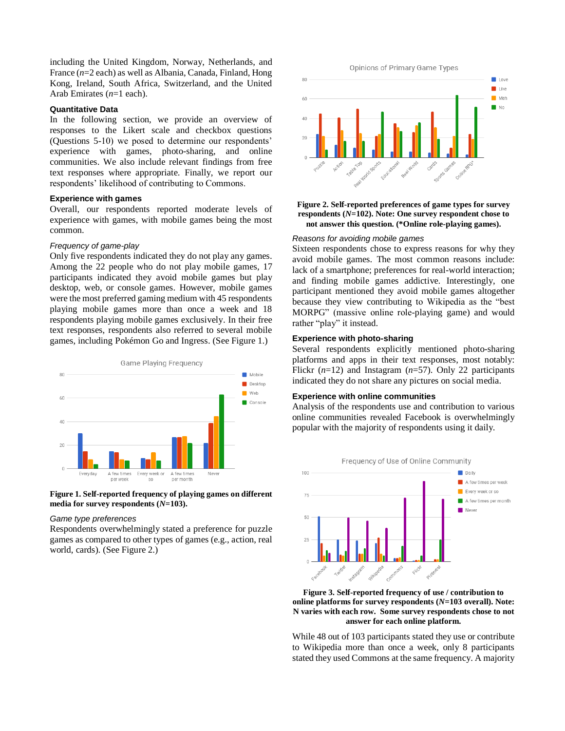including the United Kingdom, Norway, Netherlands, and France (*n*=2 each) as well as Albania, Canada, Finland, Hong Kong, Ireland, South Africa, Switzerland, and the United Arab Emirates (*n*=1 each).

#### **Quantitative Data**

In the following section, we provide an overview of responses to the Likert scale and checkbox questions (Questions 5-10) we posed to determine our respondents' experience with games, photo-sharing, and online communities. We also include relevant findings from free text responses where appropriate. Finally, we report our respondents' likelihood of contributing to Commons.

#### **Experience with games**

Overall, our respondents reported moderate levels of experience with games, with mobile games being the most common.

#### *Frequency of game-play*

Only five respondents indicated they do not play any games. Among the 22 people who do not play mobile games, 17 participants indicated they avoid mobile games but play desktop, web, or console games. However, mobile games were the most preferred gaming medium with 45 respondents playing mobile games more than once a week and 18 respondents playing mobile games exclusively. In their free text responses, respondents also referred to several mobile games, including Pokémon Go and Ingress. (See Figure 1.)





#### *Game type preferences*

Respondents overwhelmingly stated a preference for puzzle games as compared to other types of games (e.g., action, real world, cards). (See Figure 2.)





#### **Figure 2. Self-reported preferences of game types for survey respondents (***N***=102). Note: One survey respondent chose to not answer this question. (\*Online role-playing games).**

#### *Reasons for avoiding mobile games*

Sixteen respondents chose to express reasons for why they avoid mobile games. The most common reasons include: lack of a smartphone; preferences for real-world interaction; and finding mobile games addictive. Interestingly, one participant mentioned they avoid mobile games altogether because they view contributing to Wikipedia as the "best MORPG" (massive online role-playing game) and would rather "play" it instead.

## **Experience with photo-sharing**

Several respondents explicitly mentioned photo-sharing platforms and apps in their text responses, most notably: Flickr (*n*=12) and Instagram (*n*=57). Only 22 participants indicated they do not share any pictures on social media.

#### **Experience with online communities**

Analysis of the respondents use and contribution to various online communities revealed Facebook is overwhelmingly popular with the majority of respondents using it daily.



#### **Figure 3. Self-reported frequency of use / contribution to online platforms for survey respondents (***N***=103 overall). Note: N varies with each row. Some survey respondents chose to not answer for each online platform.**

While 48 out of 103 participants stated they use or contribute to Wikipedia more than once a week, only 8 participants stated they used Commons at the same frequency. A majority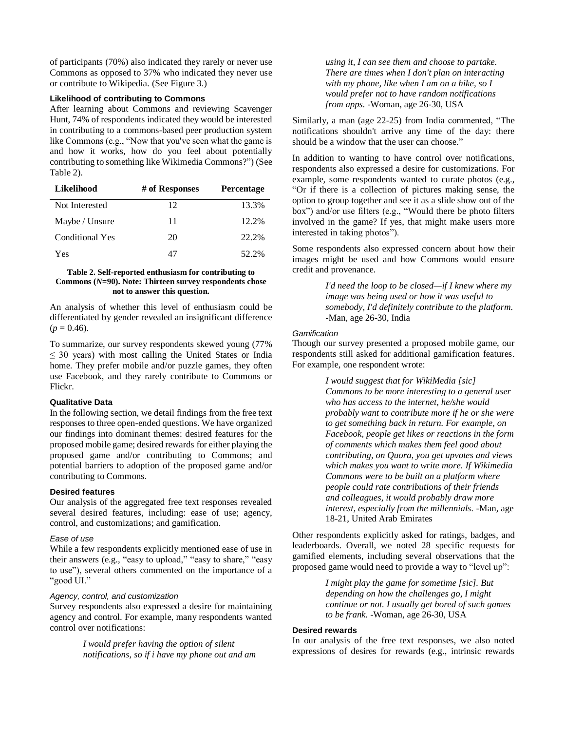of participants (70%) also indicated they rarely or never use Commons as opposed to 37% who indicated they never use or contribute to Wikipedia. (See Figure 3.)

## **Likelihood of contributing to Commons**

After learning about Commons and reviewing Scavenger Hunt, 74% of respondents indicated they would be interested in contributing to a commons-based peer production system like Commons (e.g., "Now that you've seen what the game is and how it works, how do you feel about potentially contributing to something like Wikimedia Commons?") (See Table 2).

| Likelihood      | # of Responses | <b>Percentage</b> |
|-----------------|----------------|-------------------|
| Not Interested  | 12             | 13.3%             |
| Maybe / Unsure  | 11             | 12.2%             |
| Conditional Yes | 20             | 22.2%             |
| Yes             | 47             | 52.2%             |

#### **Table 2. Self-reported enthusiasm for contributing to Commons (***N***=90). Note: Thirteen survey respondents chose not to answer this question.**

An analysis of whether this level of enthusiasm could be differentiated by gender revealed an insignificant difference  $(p = 0.46)$ .

To summarize, our survey respondents skewed young (77%  $\leq$  30 years) with most calling the United States or India home. They prefer mobile and/or puzzle games, they often use Facebook, and they rarely contribute to Commons or Flickr.

## **Qualitative Data**

In the following section, we detail findings from the free text responses to three open-ended questions. We have organized our findings into dominant themes: desired features for the proposed mobile game; desired rewards for either playing the proposed game and/or contributing to Commons; and potential barriers to adoption of the proposed game and/or contributing to Commons.

## **Desired features**

Our analysis of the aggregated free text responses revealed several desired features, including: ease of use; agency, control, and customizations; and gamification.

## *Ease of use*

While a few respondents explicitly mentioned ease of use in their answers (e.g., "easy to upload," "easy to share," "easy to use"), several others commented on the importance of a "good UI."

## *Agency, control, and customization*

Survey respondents also expressed a desire for maintaining agency and control. For example, many respondents wanted control over notifications:

> *I would prefer having the option of silent notifications, so if i have my phone out and am*

*using it, I can see them and choose to partake. There are times when I don't plan on interacting with my phone, like when I am on a hike, so I would prefer not to have random notifications from apps.* -Woman, age 26-30, USA

Similarly, a man (age 22-25) from India commented, "The notifications shouldn't arrive any time of the day: there should be a window that the user can choose."

In addition to wanting to have control over notifications, respondents also expressed a desire for customizations. For example, some respondents wanted to curate photos (e.g., "Or if there is a collection of pictures making sense, the option to group together and see it as a slide show out of the box") and/or use filters (e.g., "Would there be photo filters involved in the game? If yes, that might make users more interested in taking photos").

Some respondents also expressed concern about how their images might be used and how Commons would ensure credit and provenance.

> *I'd need the loop to be closed—if I knew where my image was being used or how it was useful to somebody, I'd definitely contribute to the platform.* -Man, age 26-30, India

## *Gamification*

Though our survey presented a proposed mobile game, our respondents still asked for additional gamification features. For example, one respondent wrote:

> *I would suggest that for WikiMedia [sic] Commons to be more interesting to a general user who has access to the internet, he/she would probably want to contribute more if he or she were to get something back in return. For example, on Facebook, people get likes or reactions in the form of comments which makes them feel good about contributing, on Quora, you get upvotes and views which makes you want to write more. If Wikimedia Commons were to be built on a platform where people could rate contributions of their friends and colleagues, it would probably draw more interest, especially from the millennials.* -Man, age 18-21, United Arab Emirates

Other respondents explicitly asked for ratings, badges, and leaderboards. Overall, we noted 28 specific requests for gamified elements, including several observations that the proposed game would need to provide a way to "level up":

> *I might play the game for sometime [sic]. But depending on how the challenges go, I might continue or not. I usually get bored of such games to be frank.* -Woman, age 26-30, USA

## **Desired rewards**

In our analysis of the free text responses, we also noted expressions of desires for rewards (e.g., intrinsic rewards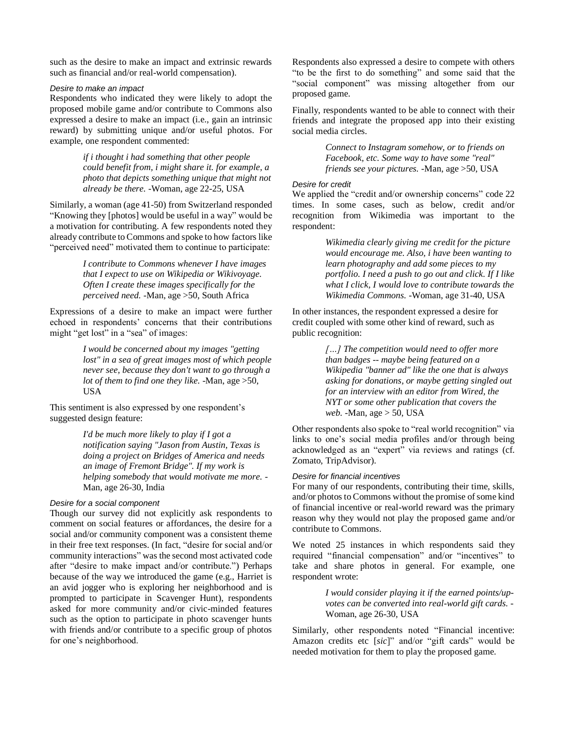such as the desire to make an impact and extrinsic rewards such as financial and/or real-world compensation).

#### *Desire to make an impact*

Respondents who indicated they were likely to adopt the proposed mobile game and/or contribute to Commons also expressed a desire to make an impact (i.e., gain an intrinsic reward) by submitting unique and/or useful photos. For example, one respondent commented:

> *if i thought i had something that other people could benefit from, i might share it. for example, a photo that depicts something unique that might not already be there.* -Woman, age 22-25, USA

Similarly, a woman (age 41-50) from Switzerland responded "Knowing they [photos] would be useful in a way" would be a motivation for contributing. A few respondents noted they already contribute to Commons and spoke to how factors like "perceived need" motivated them to continue to participate:

> *I contribute to Commons whenever I have images that I expect to use on Wikipedia or Wikivoyage. Often I create these images specifically for the perceived need.* -Man, age >50, South Africa

Expressions of a desire to make an impact were further echoed in respondents' concerns that their contributions might "get lost" in a "sea" of images:

> *I would be concerned about my images "getting lost" in a sea of great images most of which people never see, because they don't want to go through a lot of them to find one they like. -*Man, age >50, USA

This sentiment is also expressed by one respondent's suggested design feature:

> *I'd be much more likely to play if I got a notification saying "Jason from Austin, Texas is doing a project on Bridges of America and needs an image of Fremont Bridge". If my work is helping somebody that would motivate me more.* - Man, age 26-30, India

## *Desire for a social component*

Though our survey did not explicitly ask respondents to comment on social features or affordances, the desire for a social and/or community component was a consistent theme in their free text responses. (In fact, "desire for social and/or community interactions" was the second most activated code after "desire to make impact and/or contribute.") Perhaps because of the way we introduced the game (e.g., Harriet is an avid jogger who is exploring her neighborhood and is prompted to participate in Scavenger Hunt), respondents asked for more community and/or civic-minded features such as the option to participate in photo scavenger hunts with friends and/or contribute to a specific group of photos for one's neighborhood.

Respondents also expressed a desire to compete with others "to be the first to do something" and some said that the "social component" was missing altogether from our proposed game.

Finally, respondents wanted to be able to connect with their friends and integrate the proposed app into their existing social media circles.

> *Connect to Instagram somehow, or to friends on Facebook, etc. Some way to have some "real" friends see your pictures.* -Man, age >50, USA

## *Desire for credit*

We applied the "credit and/or ownership concerns" code 22 times. In some cases, such as below, credit and/or recognition from Wikimedia was important to the respondent:

> *Wikimedia clearly giving me credit for the picture would encourage me. Also, i have been wanting to learn photography and add some pieces to my portfolio. I need a push to go out and click. If I like what I click, I would love to contribute towards the Wikimedia Commons.* -Woman, age 31-40, USA

In other instances, the respondent expressed a desire for credit coupled with some other kind of reward, such as public recognition:

> *[…] The competition would need to offer more than badges -- maybe being featured on a Wikipedia "banner ad" like the one that is always asking for donations, or maybe getting singled out for an interview with an editor from Wired, the NYT or some other publication that covers the web.* -Man, age > 50, USA

Other respondents also spoke to "real world recognition" via links to one's social media profiles and/or through being acknowledged as an "expert" via reviews and ratings (cf. Zomato, TripAdvisor).

## *Desire for financial incentives*

For many of our respondents, contributing their time, skills, and/or photos to Commons without the promise of some kind of financial incentive or real-world reward was the primary reason why they would not play the proposed game and/or contribute to Commons.

We noted 25 instances in which respondents said they required "financial compensation" and/or "incentives" to take and share photos in general. For example, one respondent wrote:

> *I would consider playing it if the earned points/upvotes can be converted into real-world gift cards.* - Woman, age 26-30, USA

Similarly, other respondents noted "Financial incentive: Amazon credits etc [*sic*]" and/or "gift cards" would be needed motivation for them to play the proposed game.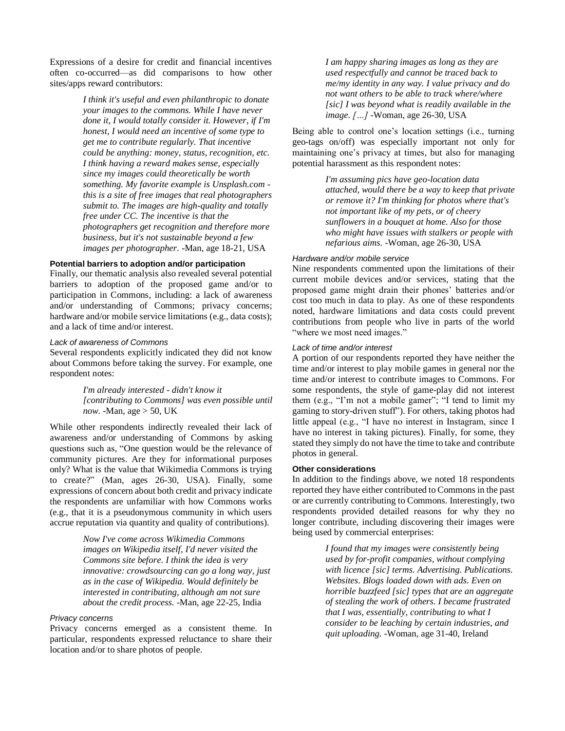Expressions of a desire for credit and financial incentives often co-occurred—as did comparisons to how other sites/apps reward contributors:

> *I think it's useful and even philanthropic to donate your images to the commons. While I have never done it, I would totally consider it. However, if I'm honest, I would need an incentive of some type to get me to contribute regularly. That incentive could be anything: money, status, recognition, etc. I think having a reward makes sense, especially since my images could theoretically be worth something. My favorite example is Unsplash.com this is a site of free images that real photographers submit to. The images are high-quality and totally free under CC. The incentive is that the photographers get recognition and therefore more business, but it's not sustainable beyond a few images per photographer.* -Man, age 18-21, USA

#### **Potential barriers to adoption and/or participation**

Finally, our thematic analysis also revealed several potential barriers to adoption of the proposed game and/or to participation in Commons, including: a lack of awareness and/or understanding of Commons; privacy concerns; hardware and/or mobile service limitations (e.g., data costs); and a lack of time and/or interest.

#### *Lack of awareness of Commons*

Several respondents explicitly indicated they did not know about Commons before taking the survey. For example, one respondent notes:

> *I'm already interested - didn't know it [contributing to Commons] was even possible until now.* -Man, age > 50, UK

While other respondents indirectly revealed their lack of awareness and/or understanding of Commons by asking questions such as, "One question would be the relevance of community pictures. Are they for informational purposes only? What is the value that Wikimedia Commons is trying to create?" (Man, ages 26-30, USA). Finally, some expressions of concern about both credit and privacy indicate the respondents are unfamiliar with how Commons works (e.g., that it is a pseudonymous community in which users accrue reputation via quantity and quality of contributions).

> *Now I've come across Wikimedia Commons images on Wikipedia itself, I'd never visited the Commons site before. I think the idea is very innovative: crowdsourcing can go a long way, just as in the case of Wikipedia. Would definitely be interested in contributing, although am not sure about the credit process.* -Man, age 22-25, India

#### *Privacy concerns*

Privacy concerns emerged as a consistent theme. In particular, respondents expressed reluctance to share their location and/or to share photos of people.

*I am happy sharing images as long as they are used respectfully and cannot be traced back to me/my identity in any way. I value privacy and do not want others to be able to track where/where [sic] I was beyond what is readily available in the image. […]* -Woman, age 26-30, USA

Being able to control one's location settings (i.e., turning geo-tags on/off) was especially important not only for maintaining one's privacy at times, but also for managing potential harassment as this respondent notes:

> *I'm assuming pics have geo-location data attached, would there be a way to keep that private or remove it? I'm thinking for photos where that's not important like of my pets, or of cheery sunflowers in a bouquet at home. Also for those who might have issues with stalkers or people with nefarious aims.* -Woman, age 26-30, USA

## *Hardware and/or mobile service*

Nine respondents commented upon the limitations of their current mobile devices and/or services, stating that the proposed game might drain their phones' batteries and/or cost too much in data to play. As one of these respondents noted, hardware limitations and data costs could prevent contributions from people who live in parts of the world "where we most need images."

#### *Lack of time and/or interest*

A portion of our respondents reported they have neither the time and/or interest to play mobile games in general nor the time and/or interest to contribute images to Commons. For some respondents, the style of game-play did not interest them (e.g., "I'm not a mobile gamer"; "I tend to limit my gaming to story-driven stuff"). For others, taking photos had little appeal (e.g., "I have no interest in Instagram, since I have no interest in taking pictures). Finally, for some, they stated they simply do not have the time to take and contribute photos in general.

#### **Other considerations**

In addition to the findings above, we noted 18 respondents reported they have either contributed to Commons in the past or are currently contributing to Commons. Interestingly, two respondents provided detailed reasons for why they no longer contribute, including discovering their images were being used by commercial enterprises:

> *I found that my images were consistently being used by for-profit companies, without complying with licence [sic] terms. Advertising. Publications. Websites. Blogs loaded down with ads. Even on horrible buzzfeed [sic] types that are an aggregate of stealing the work of others. I became frustrated that I was, essentially, contributing to what I consider to be leaching by certain industries, and quit uploading.* -Woman, age 31-40, Ireland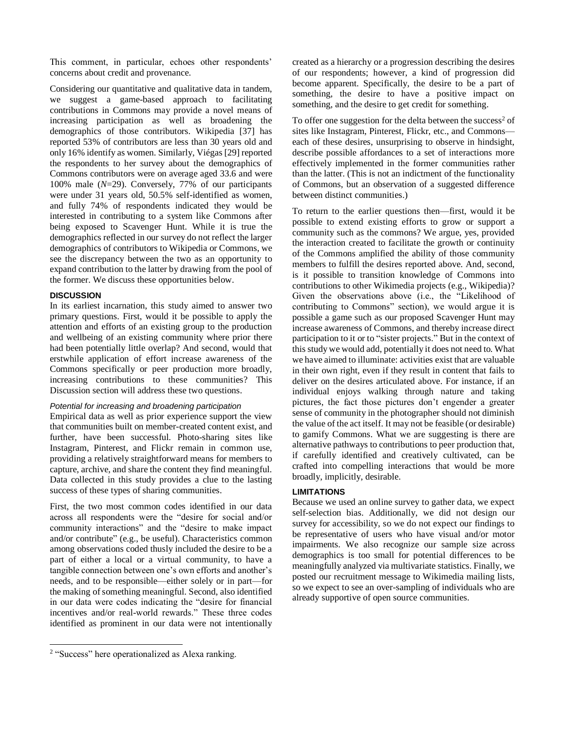This comment, in particular, echoes other respondents' concerns about credit and provenance.

Considering our quantitative and qualitative data in tandem, we suggest a game-based approach to facilitating contributions in Commons may provide a novel means of increasing participation as well as broadening the demographics of those contributors. Wikipedia [37] has reported 53% of contributors are less than 30 years old and only 16% identify as women. Similarly, Viégas [29] reported the respondents to her survey about the demographics of Commons contributors were on average aged 33.6 and were 100% male (*N*=29). Conversely, 77% of our participants were under 31 years old, 50.5% self-identified as women, and fully 74% of respondents indicated they would be interested in contributing to a system like Commons after being exposed to Scavenger Hunt. While it is true the demographics reflected in our survey do not reflect the larger demographics of contributors to Wikipedia or Commons, we see the discrepancy between the two as an opportunity to expand contribution to the latter by drawing from the pool of the former. We discuss these opportunities below.

## **DISCUSSION**

 $\overline{a}$ 

In its earliest incarnation, this study aimed to answer two primary questions. First, would it be possible to apply the attention and efforts of an existing group to the production and wellbeing of an existing community where prior there had been potentially little overlap? And second, would that erstwhile application of effort increase awareness of the Commons specifically or peer production more broadly, increasing contributions to these communities? This Discussion section will address these two questions.

#### *Potential for increasing and broadening participation*

Empirical data as well as prior experience support the view that communities built on member-created content exist, and further, have been successful. Photo-sharing sites like Instagram, Pinterest, and Flickr remain in common use, providing a relatively straightforward means for members to capture, archive, and share the content they find meaningful. Data collected in this study provides a clue to the lasting success of these types of sharing communities.

First, the two most common codes identified in our data across all respondents were the "desire for social and/or community interactions" and the "desire to make impact and/or contribute" (e.g., be useful). Characteristics common among observations coded thusly included the desire to be a part of either a local or a virtual community, to have a tangible connection between one's own efforts and another's needs, and to be responsible—either solely or in part—for the making of something meaningful. Second, also identified in our data were codes indicating the "desire for financial incentives and/or real-world rewards." These three codes identified as prominent in our data were not intentionally

created as a hierarchy or a progression describing the desires of our respondents; however, a kind of progression did become apparent. Specifically, the desire to be a part of something, the desire to have a positive impact on something, and the desire to get credit for something.

To offer one suggestion for the delta between the success<sup>2</sup> of sites like Instagram, Pinterest, Flickr, etc., and Commons each of these desires, unsurprising to observe in hindsight, describe possible affordances to a set of interactions more effectively implemented in the former communities rather than the latter. (This is not an indictment of the functionality of Commons, but an observation of a suggested difference between distinct communities.)

To return to the earlier questions then—first, would it be possible to extend existing efforts to grow or support a community such as the commons? We argue, yes, provided the interaction created to facilitate the growth or continuity of the Commons amplified the ability of those community members to fulfill the desires reported above. And, second, is it possible to transition knowledge of Commons into contributions to other Wikimedia projects (e.g., Wikipedia)? Given the observations above (i.e., the "Likelihood of contributing to Commons" section), we would argue it is possible a game such as our proposed Scavenger Hunt may increase awareness of Commons, and thereby increase direct participation to it or to "sister projects." But in the context of this study we would add, potentially it does not need to. What we have aimed to illuminate: activities exist that are valuable in their own right, even if they result in content that fails to deliver on the desires articulated above. For instance, if an individual enjoys walking through nature and taking pictures, the fact those pictures don't engender a greater sense of community in the photographer should not diminish the value of the act itself. It may not be feasible (or desirable) to gamify Commons. What we are suggesting is there are alternative pathways to contributions to peer production that, if carefully identified and creatively cultivated, can be crafted into compelling interactions that would be more broadly, implicitly, desirable.

#### **LIMITATIONS**

Because we used an online survey to gather data, we expect self-selection bias. Additionally, we did not design our survey for accessibility, so we do not expect our findings to be representative of users who have visual and/or motor impairments. We also recognize our sample size across demographics is too small for potential differences to be meaningfully analyzed via multivariate statistics. Finally, we posted our recruitment message to Wikimedia mailing lists, so we expect to see an over-sampling of individuals who are already supportive of open source communities.

<sup>&</sup>lt;sup>2</sup> "Success" here operationalized as Alexa ranking.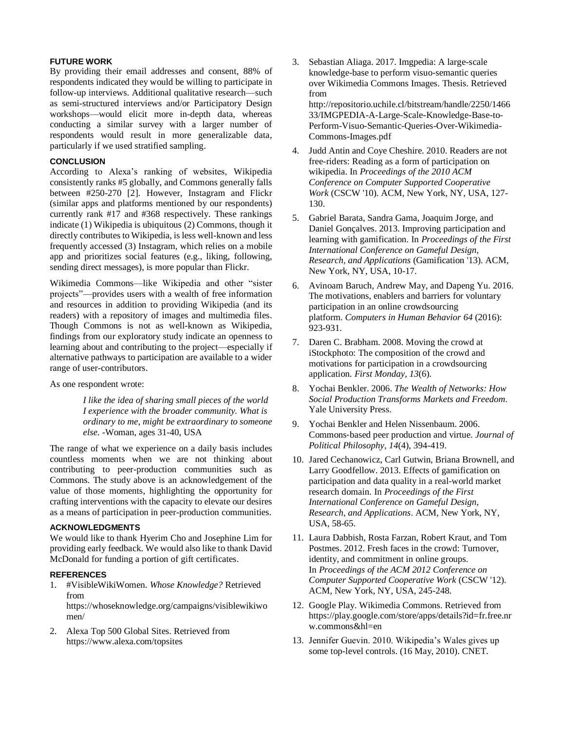## **FUTURE WORK**

By providing their email addresses and consent, 88% of respondents indicated they would be willing to participate in follow-up interviews. Additional qualitative research—such as semi-structured interviews and/or Participatory Design workshops—would elicit more in-depth data, whereas conducting a similar survey with a larger number of respondents would result in more generalizable data, particularly if we used stratified sampling.

## **CONCLUSION**

According to Alexa's ranking of websites, Wikipedia consistently ranks #5 globally, and Commons generally falls between #250-270 [2]. However, Instagram and Flickr (similar apps and platforms mentioned by our respondents) currently rank #17 and #368 respectively. These rankings indicate (1) Wikipedia is ubiquitous (2) Commons, though it directly contributes to Wikipedia, is less well-known and less frequently accessed (3) Instagram, which relies on a mobile app and prioritizes social features (e.g., liking, following, sending direct messages), is more popular than Flickr.

Wikimedia Commons—like Wikipedia and other "sister projects"—provides users with a wealth of free information and resources in addition to providing Wikipedia (and its readers) with a repository of images and multimedia files. Though Commons is not as well-known as Wikipedia, findings from our exploratory study indicate an openness to learning about and contributing to the project—especially if alternative pathways to participation are available to a wider range of user-contributors.

As one respondent wrote:

*I like the idea of sharing small pieces of the world I experience with the broader community. What is ordinary to me, might be extraordinary to someone else.* -Woman, ages 31-40, USA

The range of what we experience on a daily basis includes countless moments when we are not thinking about contributing to peer-production communities such as Commons. The study above is an acknowledgement of the value of those moments, highlighting the opportunity for crafting interventions with the capacity to elevate our desires as a means of participation in peer-production communities.

## **ACKNOWLEDGMENTS**

We would like to thank Hyerim Cho and Josephine Lim for providing early feedback. We would also like to thank David McDonald for funding a portion of gift certificates.

## **REFERENCES**

1. #VisibleWikiWomen. *Whose Knowledge?* Retrieved from

https://whoseknowledge.org/campaigns/visiblewikiwo men/

2. Alexa Top 500 Global Sites. Retrieved from https://www.alexa.com/topsites

- 3. Sebastian Aliaga. 2017. Imgpedia: A large-scale knowledge-base to perform visuo-semantic queries over Wikimedia Commons Images. Thesis. Retrieved from http://repositorio.uchile.cl/bitstream/handle/2250/1466 33/IMGPEDIA-A-Large-Scale-Knowledge-Base-to-Perform-Visuo-Semantic-Queries-Over-Wikimedia-Commons-Images.pdf
- 4. Judd Antin and Coye Cheshire. 2010. Readers are not free-riders: Reading as a form of participation on wikipedia. In *Proceedings of the 2010 ACM Conference on Computer Supported Cooperative Work* (CSCW '10). ACM, New York, NY, USA, 127- 130.
- 5. Gabriel Barata, Sandra Gama, Joaquim Jorge, and Daniel Gonçalves. 2013. Improving participation and learning with gamification. In *Proceedings of the First International Conference on Gameful Design, Research, and Applications* (Gamification '13). ACM, New York, NY, USA, 10-17.
- 6. Avinoam Baruch, Andrew May, and Dapeng Yu. 2016. The motivations, enablers and barriers for voluntary participation in an online crowdsourcing platform. *Computers in Human Behavior 64* (2016): 923-931.
- 7. Daren C. Brabham. 2008. Moving the crowd at iStockphoto: The composition of the crowd and motivations for participation in a crowdsourcing application. *First Monday, 13*(6).
- 8. Yochai Benkler. 2006. *The Wealth of Networks: How Social Production Transforms Markets and Freedom*. Yale University Press.
- 9. Yochai Benkler and Helen Nissenbaum. 2006. Commons‐based peer production and virtue. *Journal of Political Philosophy, 14*(4), 394-419.
- 10. Jared Cechanowicz, Carl Gutwin, Briana Brownell, and Larry Goodfellow. 2013. Effects of gamification on participation and data quality in a real-world market research domain. In *Proceedings of the First International Conference on Gameful Design, Research, and Applications*. ACM, New York, NY, USA, 58-65.
- 11. Laura Dabbish, Rosta Farzan, Robert Kraut, and Tom Postmes. 2012. Fresh faces in the crowd: Turnover, identity, and commitment in online groups. In *Proceedings of the ACM 2012 Conference on Computer Supported Cooperative Work* (CSCW '12). ACM, New York, NY, USA, 245-248.
- 12. Google Play. Wikimedia Commons. Retrieved from https://play.google.com/store/apps/details?id=fr.free.nr w.commons&hl=en
- 13. Jennifer Guevin. 2010. Wikipedia's Wales gives up some top-level controls. (16 May, 2010). CNET.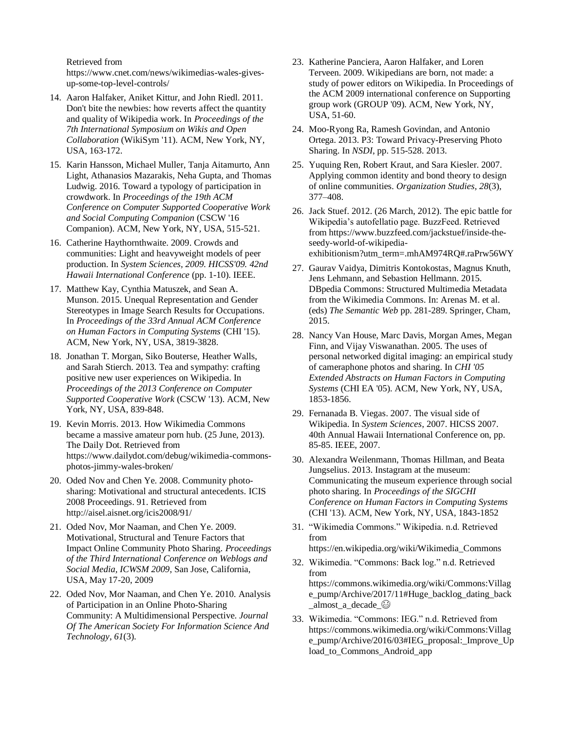Retrieved from

https://www.cnet.com/news/wikimedias-wales-givesup-some-top-level-controls/

- 14. Aaron Halfaker, Aniket Kittur, and John Riedl. 2011. Don't bite the newbies: how reverts affect the quantity and quality of Wikipedia work. In *Proceedings of the 7th International Symposium on Wikis and Open Collaboration* (WikiSym '11). ACM, New York, NY, USA, 163-172.
- 15. Karin Hansson, Michael Muller, Tanja Aitamurto, Ann Light, Athanasios Mazarakis, Neha Gupta, and Thomas Ludwig. 2016. Toward a typology of participation in crowdwork. In *Proceedings of the 19th ACM Conference on Computer Supported Cooperative Work and Social Computing Companion* (CSCW '16 Companion). ACM, New York, NY, USA, 515-521.
- 16. Catherine Haythornthwaite. 2009. Crowds and communities: Light and heavyweight models of peer production. In *System Sciences, 2009. HICSS'09. 42nd Hawaii International Conference* (pp. 1-10). IEEE.
- 17. Matthew Kay, Cynthia Matuszek, and Sean A. Munson. 2015. Unequal Representation and Gender Stereotypes in Image Search Results for Occupations. In *Proceedings of the 33rd Annual ACM Conference on Human Factors in Computing Systems* (CHI '15). ACM, New York, NY, USA, 3819-3828.
- 18. Jonathan T. Morgan, Siko Bouterse, Heather Walls, and Sarah Stierch. 2013. Tea and sympathy: crafting positive new user experiences on Wikipedia. In *Proceedings of the 2013 Conference on Computer Supported Cooperative Work* (CSCW '13). ACM, New York, NY, USA, 839-848.
- 19. Kevin Morris. 2013. How Wikimedia Commons became a massive amateur porn hub. (25 June, 2013). The Daily Dot. Retrieved from https://www.dailydot.com/debug/wikimedia-commonsphotos-jimmy-wales-broken/
- 20. Oded Nov and Chen Ye. 2008. Community photosharing: Motivational and structural antecedents. ICIS 2008 Proceedings. 91. Retrieved from http://aisel.aisnet.org/icis2008/91/
- 21. Oded Nov, Mor Naaman, and Chen Ye. 2009. Motivational, Structural and Tenure Factors that Impact Online Community Photo Sharing. *Proceedings of the Third International Conference on Weblogs and Social Media, ICWSM 2009*, San Jose, California, USA, May 17-20, 2009
- 22. Oded Nov, Mor Naaman, and Chen Ye. 2010. Analysis of Participation in an Online Photo-Sharing Community: A Multidimensional Perspective. *Journal Of The American Society For Information Science And Technology*, *61*(3).
- 23. Katherine Panciera, Aaron Halfaker, and Loren Terveen. 2009. Wikipedians are born, not made: a study of power editors on Wikipedia. In Proceedings of the ACM 2009 international conference on Supporting group work (GROUP '09). ACM, New York, NY, USA, 51-60.
- 24. Moo-Ryong Ra, Ramesh Govindan, and Antonio Ortega. 2013. P3: Toward Privacy-Preserving Photo Sharing. In *NSDI*, pp. 515-528. 2013.
- 25. Yuquing Ren, Robert Kraut, and Sara Kiesler. 2007. Applying common identity and bond theory to design of online communities. *Organization Studies, 28*(3), 377–408.
- 26. Jack Stuef. 2012. (26 March, 2012). The epic battle for Wikipedia's autofellatio page. BuzzFeed. Retrieved from https://www.buzzfeed.com/jackstuef/inside-theseedy-world-of-wikipediaexhibitionism?utm\_term=.mhAM974RQ#.raPrw56WY
- 27. Gaurav Vaidya, Dimitris Kontokostas, Magnus Knuth, Jens Lehmann, and Sebastion Hellmann. 2015. DBpedia Commons: Structured Multimedia Metadata from the Wikimedia Commons. In: Arenas M. et al. (eds) *The Semantic Web* pp. 281-289. Springer, Cham, 2015.
- 28. Nancy Van House, Marc Davis, Morgan Ames, Megan Finn, and Vijay Viswanathan. 2005. The uses of personal networked digital imaging: an empirical study of cameraphone photos and sharing. In *CHI '05 Extended Abstracts on Human Factors in Computing Systems* (CHI EA '05). ACM, New York, NY, USA, 1853-1856.
- 29. Fernanada B. Viegas. 2007. The visual side of Wikipedia. In *System Sciences*, 2007. HICSS 2007. 40th Annual Hawaii International Conference on, pp. 85-85. IEEE, 2007.
- 30. Alexandra Weilenmann, Thomas Hillman, and Beata Jungselius. 2013. Instagram at the museum: Communicating the museum experience through social photo sharing. In *Proceedings of the SIGCHI Conference on Human Factors in Computing Systems* (CHI '13). ACM, New York, NY, USA, 1843-1852
- 31. "Wikimedia Commons." Wikipedia. n.d. Retrieved from

https://en.wikipedia.org/wiki/Wikimedia\_Commons

- 32. Wikimedia. "Commons: Back log." n.d. Retrieved from https://commons.wikimedia.org/wiki/Commons:Villag e\_pump/Archive/2017/11#Huge\_backlog\_dating\_back \_almost\_a\_decade\_
- 33. Wikimedia. "Commons: IEG." n.d. Retrieved from https://commons.wikimedia.org/wiki/Commons:Villag e\_pump/Archive/2016/03#IEG\_proposal:\_Improve\_Up load to Commons Android app